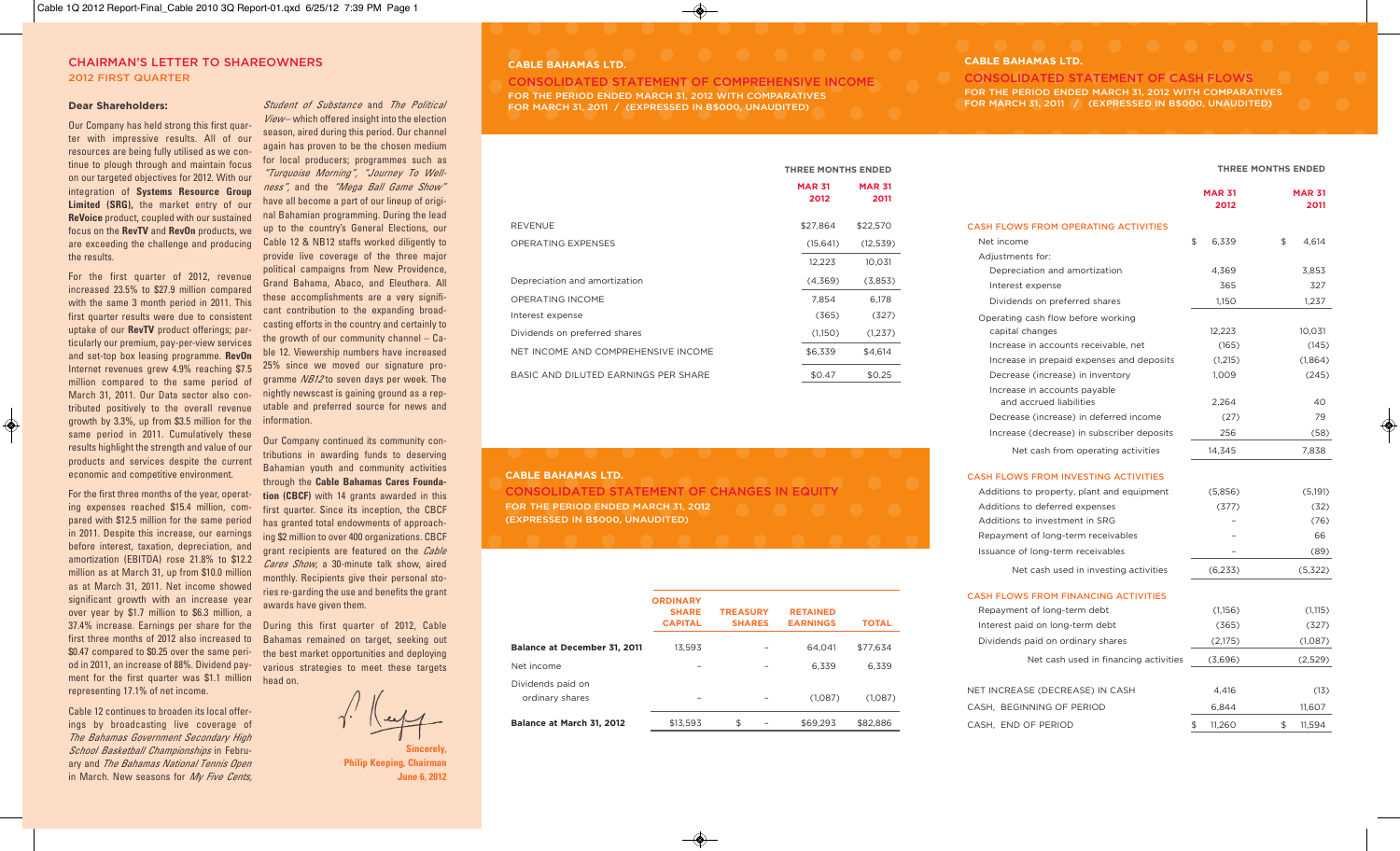## **CHAIRMAN'S LETTER TO SHAREOWNERS 2012 FIRST QUARTER**

## **Dear Shareholders:**

Our Company has held strong this first quarter with impressive results. All of our resources are being fully utilised as we continue to plough through and maintain focus on our targeted objectives for 2012. With our integration of **Systems Resource Group Limited (SRG),** the market entry of our **ReVoice** product, coupled with our sustained focus on the **RevTV** and **RevOn** products, we are exceeding the challenge and producing the results.

For the first quarter of 2012, revenue increased 23.5% to \$27.9 million compared with the same 3 month period in 2011. This first quarter results were due to consistent uptake of our **RevTV** product offerings; particularly our premium, pay-per-view services and set-top box leasing programme. **RevOn** Internet revenues grew 4.9% reaching \$7.5 million compared to the same period of March 31, 2011. Our Data sector also contributed positively to the overall revenue growth by 3.3%, up from \$3.5 million for the same period in 2011. Cumulatively these results highlight the strength and value of our products and services despite the current economic and competitive environment.

For the first three months of the year, operating expenses reached \$15.4 million, compared with \$12.5 million for the same period in 2011. Despite this increase, our earnings before interest, taxation, depreciation, and amortization (EBITDA) rose 21.8% to \$12.2 million as at March 31, up from \$10.0 million as at March 31, 2011. Net income showed significant growth with an increase year over year by \$1.7 million to \$6.3 million, a 37.4% increase. Earnings per share for the first three months of 2012 also increased to \$0.47 compared to \$0.25 over the same period in 2011, an increase of 88%. Dividend payment for the first quarter was \$1.1 million representing 17.1% of net income.

Cable 12 continues to broaden its local offerings by broadcasting live coverage of *The Bahamas Government Secondary High School Basketball Championships* in February and *The Bahamas National Tennis Open* in March. New seasons for *My Five Cents,*

*Student of Substance* and *The Political View* – which offered insight into the election season, aired during this period. Our channel again has proven to be the chosen medium for local producers; programmes such as *"Turquoise Morning", "Journey To Wellness",* and the *"Mega Ball Game Show"* have all become a part of our lineup of original Bahamian programming. During the lead up to the country's General Elections, our Cable 12 & NB12 staffs worked diligently to provide live coverage of the three major political campaigns from New Providence, Grand Bahama, Abaco, and Eleuthera. All these accomplishments are a very significant contribution to the expanding broadcasting efforts in the country and certainly to the growth of our community channel – Cable 12. Viewership numbers have increased 25% since we moved our signature programme *NB12* to seven days per week. The nightly newscast is gaining ground as a reputable and preferred source for news and

Our Company continued its community contributions in awarding funds to deserving Bahamian youth and community activities through the **Cable Bahamas Cares Foundation (CBCF)** with 14 grants awarded in this first quarter. Since its inception, the CBCF has granted total endowments of approaching \$2 million to over 400 organizations. CBCF grant recipients are featured on the *Cable Cares Show,* a 30-minute talk show, aired monthly. Recipients give their personal stories re-garding the use and benefits the grant awards have given them.

information.

During this first quarter of 2012, Cable Bahamas remained on target, seeking out the best market opportunities and deploying various strategies to meet these targets head on.

**Sincerely, Philip Keeping, Chairman June 6, 2012**

# **CABLE BAHAMAS LTD.**

**CONSOLIDATED STATEMENT OF COMPREHENSIVE INCOME FOR THE PERIOD ENDED MARCH 31, 2012 WITH COMPARATIVES FOR MARCH 31, 2011 / (EXPRESSED IN B\$000, UNAUDITED)**

|                                      |                       | <b>THREE MONTHS ENDED</b> |  |  |
|--------------------------------------|-----------------------|---------------------------|--|--|
|                                      | <b>MAR 31</b><br>2012 | <b>MAR 31</b><br>2011     |  |  |
| REVENUE                              | \$27,864              | \$22,570                  |  |  |
| OPERATING EXPENSES                   | (15, 641)             | (12, 539)                 |  |  |
|                                      | 12.223                | 10.031                    |  |  |
| Depreciation and amortization        | (4,369)               | (3,853)                   |  |  |
| OPERATING INCOME                     | 7,854                 | 6,178                     |  |  |
| Interest expense                     | (365)                 | (327)                     |  |  |
| Dividends on preferred shares        | (1,150)               | (1,237)                   |  |  |
| NET INCOME AND COMPREHENSIVE INCOME  | \$6,339               | \$4,614                   |  |  |
| BASIC AND DILUTED EARNINGS PER SHARE | \$0.47                | \$0.25                    |  |  |

## **CABLE BAHAMAS LTD.**

**CONSOLIDATED STATEMENT OF CASH FLOWS FOR THE PERIOD ENDED MARCH 31, 2012 WITH COMPARATIVES FOR MARCH 31, 2011 / (EXPRESSED IN B\$000, UNAUDITED)**

**THREE MONTHS ENDED**

|                                             | <b>IHREE MONTHS ENDED</b> |                       |  |
|---------------------------------------------|---------------------------|-----------------------|--|
|                                             | <b>MAR 31</b><br>2012     | <b>MAR 31</b><br>2011 |  |
| <b>CASH FLOWS FROM OPERATING ACTIVITIES</b> |                           |                       |  |
| Net income                                  | \$<br>6,339               | \$<br>4,614           |  |
| Adjustments for:                            |                           |                       |  |
| Depreciation and amortization               | 4,369                     | 3,853                 |  |
| Interest expense                            | 365                       | 327                   |  |
| Dividends on preferred shares               | 1.150                     | 1,237                 |  |
| Operating cash flow before working          |                           |                       |  |
| capital changes                             | 12,223                    | 10,031                |  |
| Increase in accounts receivable, net        | (165)                     | (145)                 |  |
| Increase in prepaid expenses and deposits   | (1,215)                   | (1,864)               |  |
| Decrease (increase) in inventory            | 1,009                     | (245)                 |  |
| Increase in accounts payable                |                           |                       |  |
| and accrued liabilities                     | 2,264                     | 40                    |  |
| Decrease (increase) in deferred income      | (27)                      | 79                    |  |
| Increase (decrease) in subscriber deposits  | 256                       | (58)                  |  |
| Net cash from operating activities          | 14,345                    | 7,838                 |  |
| <b>CASH FLOWS FROM INVESTING ACTIVITIES</b> |                           |                       |  |
| Additions to property, plant and equipment  | (5,856)                   | (5, 191)              |  |
| Additions to deferred expenses              | (377)                     | (32)                  |  |
|                                             |                           |                       |  |

| Additions to deferred expenses        | (377)   | (32)    |
|---------------------------------------|---------|---------|
| Additions to investment in SRG        |         | (76)    |
| Repayment of long-term receivables    |         | 66      |
| Issuance of long-term receivables     |         | (89)    |
| Net cash used in investing activities | (6,233) | (5,322) |

### **CASH FLOWS FROM FINANCING ACTIVITIES**

| Repayment of long-term debt           | (1,156)      |  | (1,115) |
|---------------------------------------|--------------|--|---------|
| Interest paid on long-term debt       | (365)        |  | (327)   |
| Dividends paid on ordinary shares     | (2,175)      |  | (1,087) |
| Net cash used in financing activities | (3,696)      |  | (2,529) |
|                                       |              |  |         |
| NET INCREASE (DECREASE) IN CASH       | 4.416        |  | (13)    |
| CASH, BEGINNING OF PERIOD             | 6.844        |  | 11,607  |
| CASH, END OF PERIOD                   | \$<br>11.260 |  | 11.594  |
|                                       |              |  |         |

## **CABLE BAHAMAS LTD.**

**CONSOLIDATED STATEMENT OF CHANGES IN EQUITY FOR THE PERIOD ENDED MARCH 31, 2012 (EXPRESSED IN B\$000, UNAUDITED)**

|                                      | <b>ORDINARY</b><br><b>SHARE</b><br><b>CAPITAL</b> | <b>TREASURY</b><br><b>SHARES</b> | <b>RETAINED</b><br><b>EARNINGS</b> | <b>TOTAL</b> |
|--------------------------------------|---------------------------------------------------|----------------------------------|------------------------------------|--------------|
| Balance at December 31, 2011         | 13,593                                            |                                  | 64.041                             | \$77.634     |
| Net income                           |                                                   |                                  | 6,339                              | 6,339        |
| Dividends paid on<br>ordinary shares |                                                   |                                  | (1,087)                            | (1,087)      |
| Balance at March 31, 2012            | \$13,593                                          | \$                               | \$69,293                           | \$82.886     |